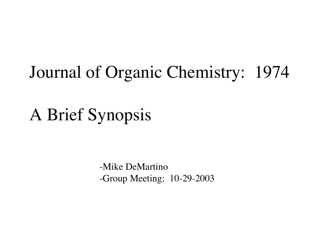# Journal of Organic Chemistry: 1974

A Brief Synopsis

-Mike DeMartino -Group Meeting: 10-29-2003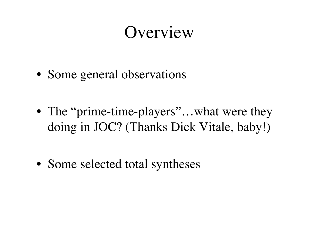# **Overview**

- Some general observations
- The "prime-time-players"...what were they doing in JOC? (Thanks Dick Vitale, baby!)
- Some selected total syntheses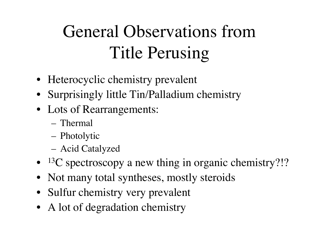# General Observations from Title Perusing

- Heterocyclic chemistry prevalent
- Surprisingly little Tin/Palladium chemistry
- Lots of Rearrangements:
	- Thermal
	- Photolytic
	- Acid Catalyzed
- <sup>13</sup>C spectroscopy a new thing in organic chemistry?!?
- Not many total syntheses, mostly steroids
- Sulfur chemistry very prevalent
- A lot of degradation chemistry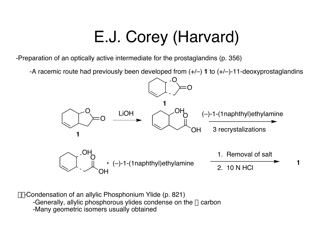# E.J. Corey (Harvard)

-Preparation of an optically active intermediate for the prostaglandins (p. 356)

-A racemic route had previously been developed from (+/–) **1** to (+/–)-11-deoxyprostaglandins



 $-\gamma$ -Condensation of an allylic Phosphonium Ylide (p. 821) -Generally, allylic phosphorous ylides condense on the  $\alpha$  carbon -Many geometric isomers usually obtained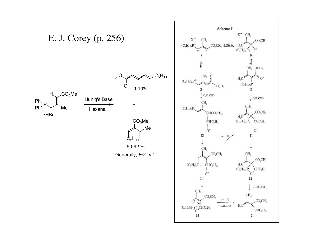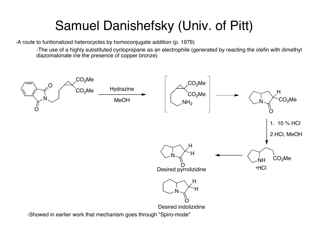## Samuel Danishefsky (Univ. of Pitt)

-A route to funtionalized heterocycles by homoconjugate addition (p. 1979)

-The use of a highly substituted cyclopropane as an electrophile (generated by reacting the olefin with dimethyl diazomalonate ine the presence of copper bronze)

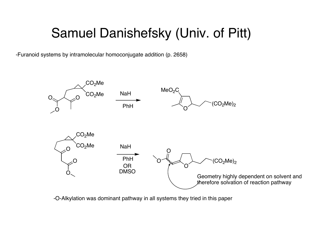## Samuel Danishefsky (Univ. of Pitt)

-Furanoid systems by intramolecular homoconjugate addition (p. 2658)



-O-Alkylation was dominant pathway in all systems they tried in this paper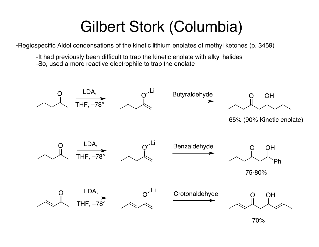# Gilbert Stork (Columbia)

-Regiospecific Aldol condensations of the kinetic lithium enolates of methyl ketones (p. 3459)

-It had previously been difficult to trap the kinetic enolate with alkyl halides -So, used a more reactive electrophile to trap the enolate



70%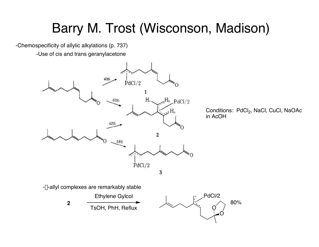# Barry M. Trost (Wisconson, Madison)

-Chemospecificity of allylic alkylations (p. 737)

-Use of cis and trans geranylacetone

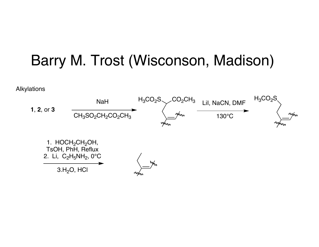

Alkylations

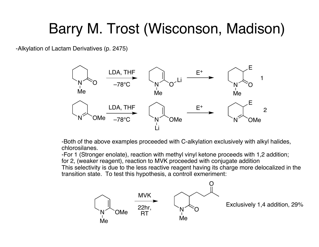# Barry M. Trost (Wisconson, Madison)

-Alkylation of Lactam Derivatives (p. 2475)



-Both of the above examples proceeded with C-alkylation exclusively with alkyl halides, chlorosilanes.

-For 1 (Stronger enolate), reaction with methyl vinyl ketone proceeds with 1,2 addition;

for 2, (weaker reagent), reaction to MVK proceeded with conjugate addition

This selectivity is due to the less reactive reagent having its charge more delocalized in the transition state. To test this hypothesis, a controll exmeriment:

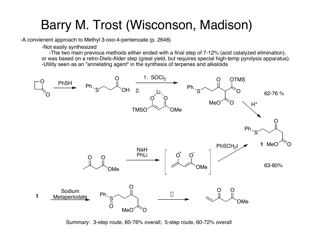## Barry M. Trost (Wisconson, Madison)

-A convienent approach to Methyl 3-oxo-4-pentenoate (p. 2648)

-Not easily synthesized

-The two main previous methods either ended with a final step of 7-12% (acid catalyzed elimination), or was based on a retro-Diels-Alder step (great yield, but requires special high-temp pyrolysis apparatus). -Utility seen as an "annelating agent" in the synthesis of terpenes and alkaloids



Summary: 3-step route, 60-76% overall; 5-step route, 60-72% overall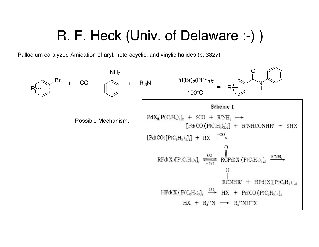## R. F. Heck (Univ. of Delaware :-) )

-Palladium caralyzed Amidation of aryl, heterocyclic, and vinylic halides (p. 3327)

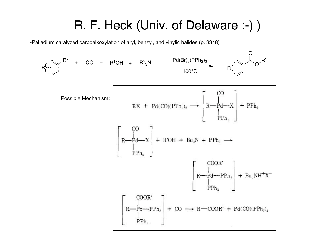## R. F. Heck (Univ. of Delaware :-) )

-Palladium caralyzed carboalkoxylation of aryl, benzyl, and vinylic halides (p. 3318)

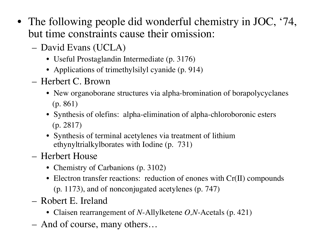- The following people did wonderful chemistry in JOC, '74, but time constraints cause their omission:
	- David Evans (UCLA)
		- Useful Prostaglandin Intermediate (p. 3176)
		- Applications of trimethylsilyl cyanide (p. 914)
	- Herbert C. Brown
		- New organoborane structures via alpha-bromination of borapolycyclanes (p. 861)
		- Synthesis of olefins: alpha-elimination of alpha-chloroboronic esters (p. 2817)
		- Synthesis of terminal acetylenes via treatment of lithium ethynyltrialkylborates with Iodine (p. 731)
	- Herbert House
		- Chemistry of Carbanions (p. 3102)
		- Electron transfer reactions: reduction of enones with Cr(II) compounds (p. 1173), and of nonconjugated acetylenes (p. 747)
	- Robert E. Ireland
		- Claisen rearrangement of *N*-Allylketene *O,N*-Acetals (p. 421)
	- And of course, many others…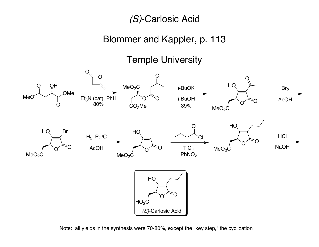(S)-Carlosic Acid

### Blommer and Kappler, p. 113

Temple University



Note: all yields in the synthesis were 70-80%, except the "key step," the cyclization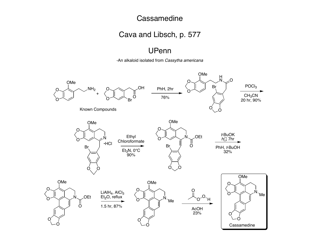#### **Cassamedine**

#### Cava and Libsch, p. 577

#### UPenn

-An alkaloid isolated from Cassytha americana

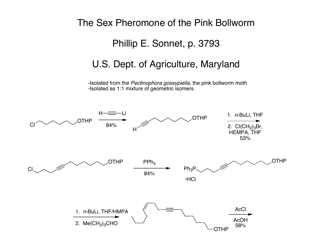#### The Sex Pheromone of the Pink Bollworm Phillip E. Sonnet, p. 3793 U.S. Dept. of Agriculture, Maryland -Isolated from the Pectinophora gossypiella, the pink bollworm moth -Isolated as 1:1 mixture of geometric isomers  $Cl \sim \sim \sim$  OTHP  $H \rightarrow \equiv$ **OTHP** H 1. <sup>n</sup>-BuLi, THF 2.  $Cl(CH_2)_3Br$ , HEMPA, THF 53% **OTHP** 84%  $PPh<sub>3</sub>$ 84% 1. <sup>n</sup>-BuLi, THF/HMPA 2.  $Me(CH_2)_3$ CHO **OTHP** Ph3P •HCl **OTHP AcC** AcOH 58%

Cl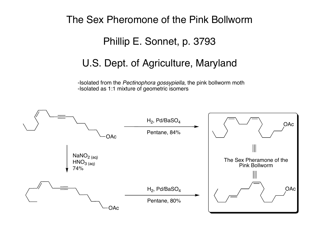# The Sex Pheromone of the Pink Bollworm Phillip E. Sonnet, p. 3793 U.S. Dept. of Agriculture, Maryland

-Isolated from the Pectinophora gossypiella, the pink bollworm moth -Isolated as 1:1 mixture of geometric isomers

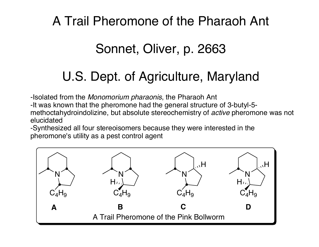## A Trail Pheromone of the Pharaoh Ant

## Sonnet, Oliver, p. 2663

## U.S. Dept. of Agriculture, Maryland

-Isolated from the Monomorium pharaonis, the Pharaoh Ant

-It was known that the pheromone had the general structure of 3-butyl-5 methoctahydroindolizine, but absolute stereochemistry of *active* pheromone was not elucidated

-Synthesized all four stereoisomers because they were interested in the pheromone's utility as a pest control agent

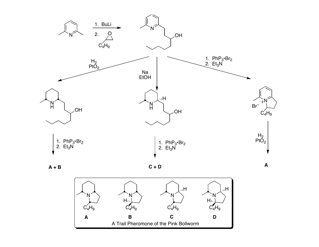



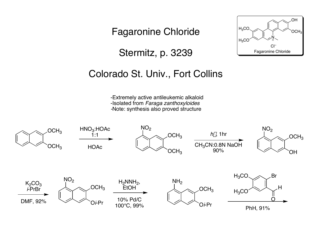Fagaronine Chloride

Stermitz, p. 3239



### Colorado St. Univ., Fort Collins

-Extremely active antileukemic alkaloid -Isolated from Faraga zanthoxyloides -Note: synthesis also proved structure

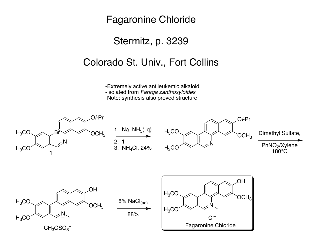### Fagaronine Chloride

### Stermitz, p. 3239

### Colorado St. Univ., Fort Collins

-Extremely active antileukemic alkaloid -Isolated from Faraga zanthoxyloides -Note: synthesis also proved structure

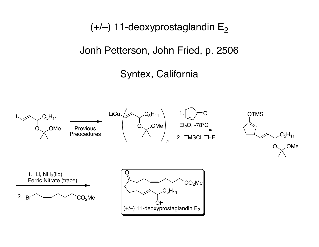$(+/-)$  11-deoxyprostaglandin E<sub>2</sub>

Jonh Petterson, John Fried, p. 2506

## Syntex, California

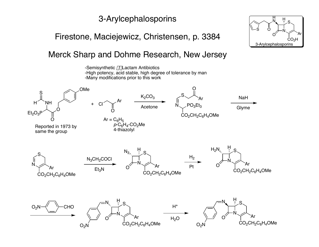### 3-Arylcephalosporins

### Firestone, Maciejewicz, Christensen, p. 3384

#### Merck Sharp and Dohme Research, New Jersey



N S Ar CO<sub>2</sub>H O H N H S O 3-Arylcephalosporins